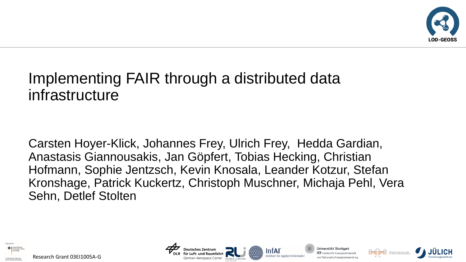

# Implementing FAIR through a distributed data infrastructure

Carsten Hoyer-Klick, Johannes Frey, Ulrich Frey, Hedda Gardian, Anastasis Giannousakis, Jan Göpfert, Tobias Hecking, Christian Hofmann, Sophie Jentzsch, Kevin Knosala, Leander Kotzur, Stefan Kronshage, Patrick Kuckertz, Christoph Muschner, Michaja Pehl, Vera Sehn, Detlef Stolten





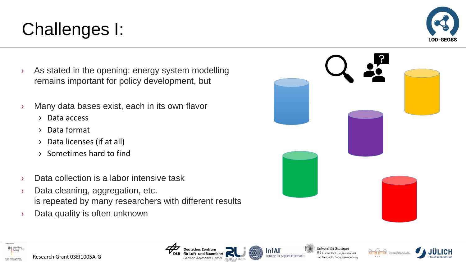#### Research Grant 03EI1005A-G

Aerospace Center

InfAl

Universität Stuttgart  ${\it IER}$  Institut für Energiewirtschaft und Rationelle Energieanwendung







- Challenges I:
- › As stated in the opening: energy system modelling remains important for policy development, but
- › Many data bases exist, each in its own flavor
	- › Data access
	- › Data format
	- › Data licenses (if at all)
	- › Sometimes hard to find
- › Data collection is a labor intensive task
- › Data cleaning, aggregation, etc. is repeated by many researchers with different results
- › Data quality is often unknown



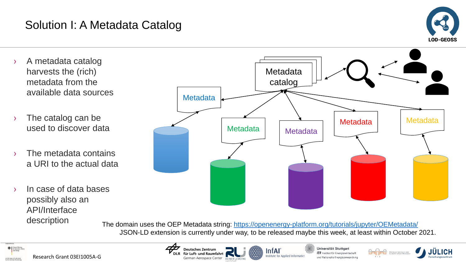## Solution I: A Metadata Catalog



- › A metadata catalog harvests the (rich) metadata from the available data sources
- › The catalog can be used to discover data
- The metadata contains a URI to the actual data
- › In case of data bases possibly also an API/Interface description



The domain uses the OEP Metadata string: <https://openenergy-platform.org/tutorials/jupyter/OEMetadata/> JSON-LD extension is currently under way, to be released maybe this week, at least within October 2021.

**InfAl** 



**Deutsches Zentrum** für Luft- und Raumfahrt German Aerospace Center REINER LEMOINE Institute for Applied Informatics

Universität Stuttgart IER Institut für Energiewirtschaft und Rationelle Energieanwendung

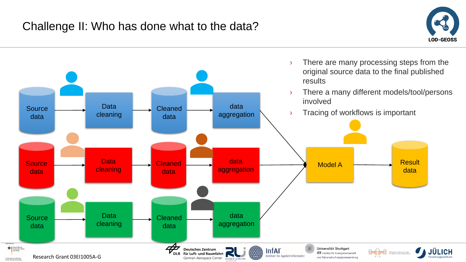

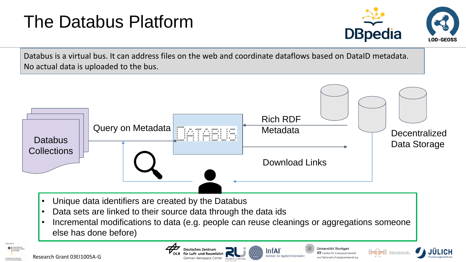# The Databus Platform



Universität Stuttgart

und Rationelle Energieanwendung

Databus is a virtual bus. It can address files on the web and coordinate dataflows based on DataID metadata. No actual data is uploaded to the bus.



**PEINER LEMO** 

InfAl

eutsches Zentrun

n Aerospace Center

Research Grant 03EI1005A-G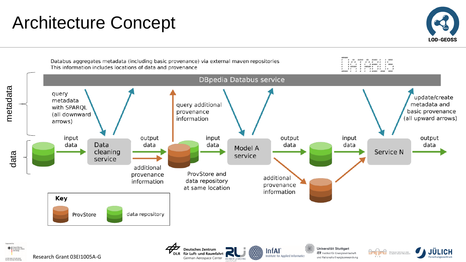# Architecture Concept



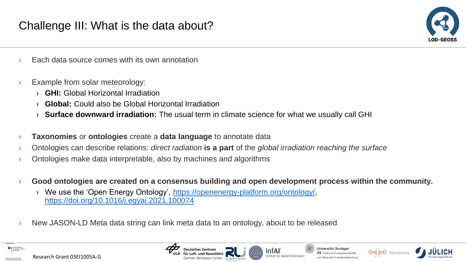

- Each data source comes with its own annotation
- › Example from solar meteorology:
	- › **GHI:** Global Horizontal Irradiation
	- › **Global:** Could also be Global Horizontal Irradiation
	- › **Surface downward irradiation:** The usual term in climate science for what we usually call GHI
- › **Taxonomies** or **ontologies** create a **data language** to annotate data
- › Ontologies can describe relations: *direct radiation* **is a part** of the *global irradiation reaching the surface*
- › Ontologies make data interpretable, also by machines and algorithms
- › **Good ontologies are created on a consensus building and open development process within the community.**
	- We use the 'Open Energy Ontology', [https://openenergy-platform.org/ontology/,](https://openenergy-platform.org/ontology/) <https://doi.org/10.1016/j.egyai.2021.100074>
- New JASON-LD Meta data string can link meta data to an ontology, about to be released









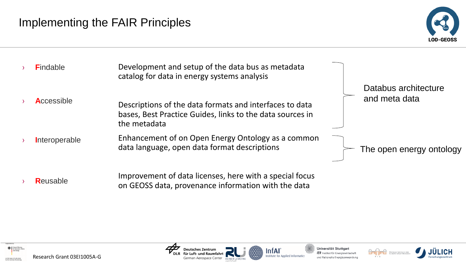



**R**eusable

Improvement of data licenses, here with a special focus on GEOSS data, provenance information with the data



ntAl





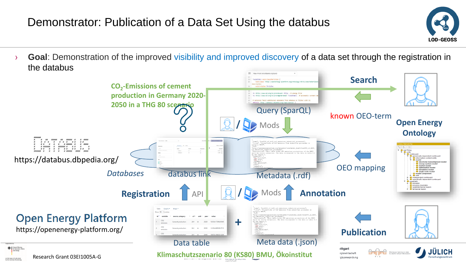## Demonstrator: Publication of a Data Set Using the databus



› **Goal**: Demonstration of the improved visibility and improved discovery of a data set through the registration in the databus

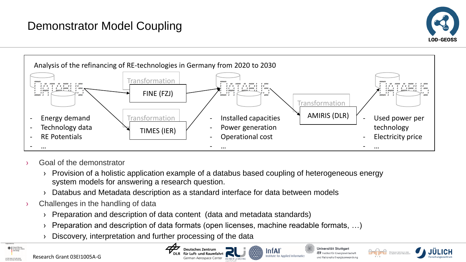## Demonstrator Model Coupling





- Goal of the demonstrator
	- › Provision of a holistic application example of a databus based coupling of heterogeneous energy system models for answering a research question.

German Aerospace Center REINER LEMOINE

- › Databus and Metadata description as a standard interface for data between models
- Challenges in the handling of data
	- › Preparation and description of data content (data and metadata standards)
	- Preparation and description of data formats (open licenses, machine readable formats, ...)
	- Discovery, interpretation and further processing of the data



**InfAl** 

Institute for Applied Informatics



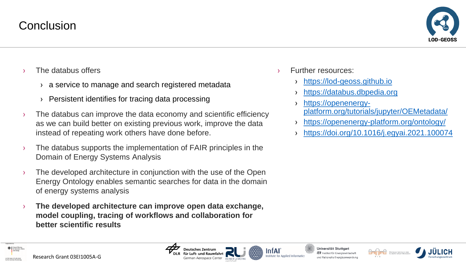

- The databus offers
	- › a service to manage and search registered metadata
	- Persistent identifies for tracing data processing
- $\rightarrow$  The databus can improve the data economy and scientific efficiency as we can build better on existing previous work, improve the data instead of repeating work others have done before.
- $\rightarrow$  The databus supports the implementation of FAIR principles in the Domain of Energy Systems Analysis
- $\rightarrow$  The developed architecture in conjunction with the use of the Open Energy Ontology enables semantic searches for data in the domain of energy systems analysis
- › **The developed architecture can improve open data exchange, model coupling, tracing of workflows and collaboration for better scientific results**
- **Further resources:** 
	- [https://lod-geoss.github.io](https://lod-geoss.github.io/)
	- [https://databus.dbpedia.org](https://databus.dbpedia.org/)
	- › https://openenergyplatform.org/tutorials/jupyter/OEMetadata/
	- › <https://openenergy-platform.org/ontology/>
	- › <https://doi.org/10.1016/j.egyai.2021.100074>



Research Grant 03EI1005A-G

rospace Center

Universität Stuttgart nstitut für Energiewirtschaft und Rationelle Energieanwendung